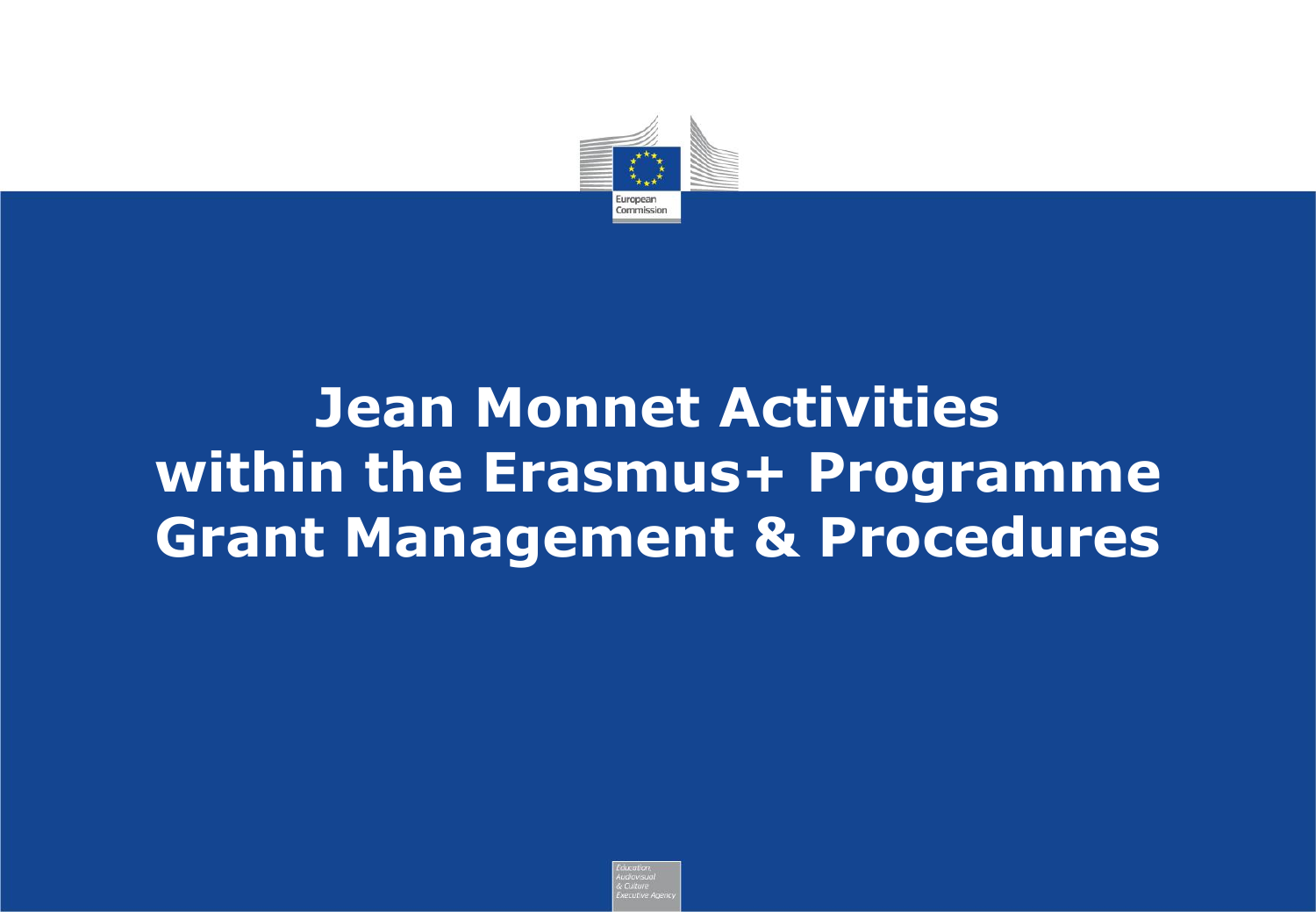

# **Jean Monnet Activities within the Erasmus+ Programme Grant Management & Procedures**

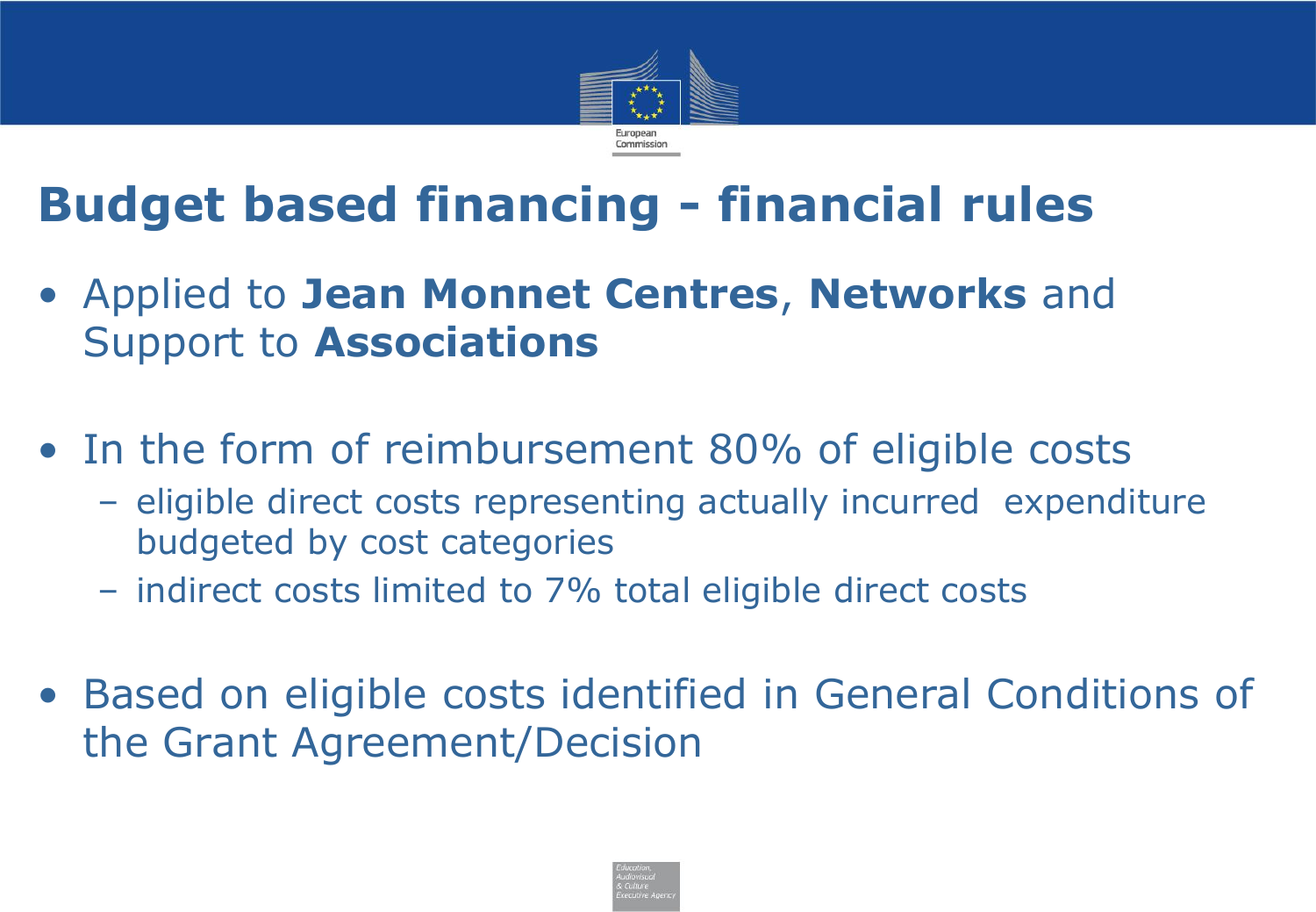

## **Budget based financing - financial rules**

- Applied to **Jean Monnet Centres**, **Networks** and Support to **Associations**
- In the form of reimbursement 80% of eligible costs
	- eligible direct costs representing actually incurred expenditure budgeted by cost categories
	- indirect costs limited to 7% total eligible direct costs
- Based on eligible costs identified in General Conditions of the Grant Agreement/Decision

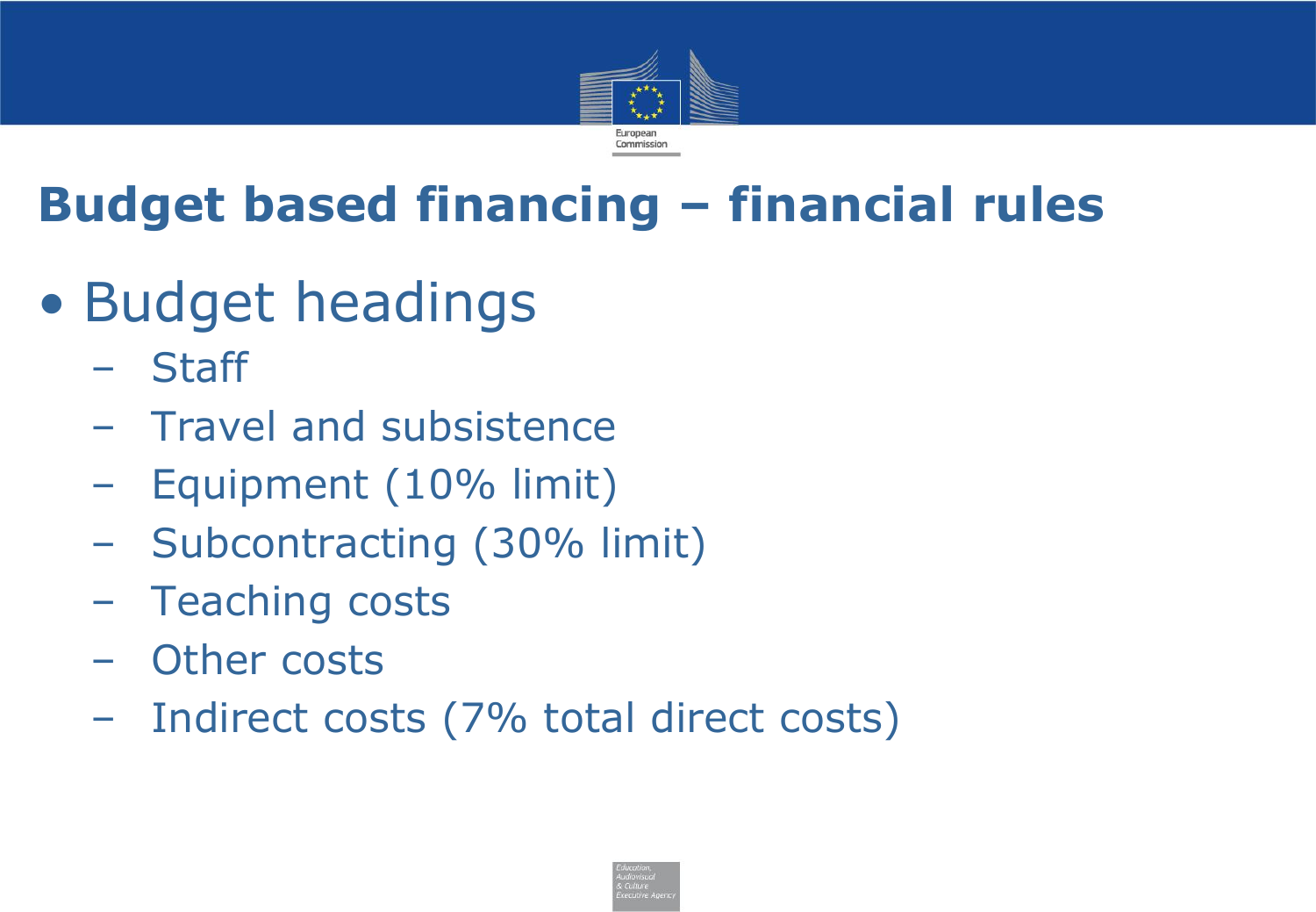

# **Budget based financing – financial rules**

- Budget headings
	- Staff
	- Travel and subsistence
	- Equipment (10% limit)
	- Subcontracting (30% limit)
	- Teaching costs
	- Other costs
	- Indirect costs (7% total direct costs)

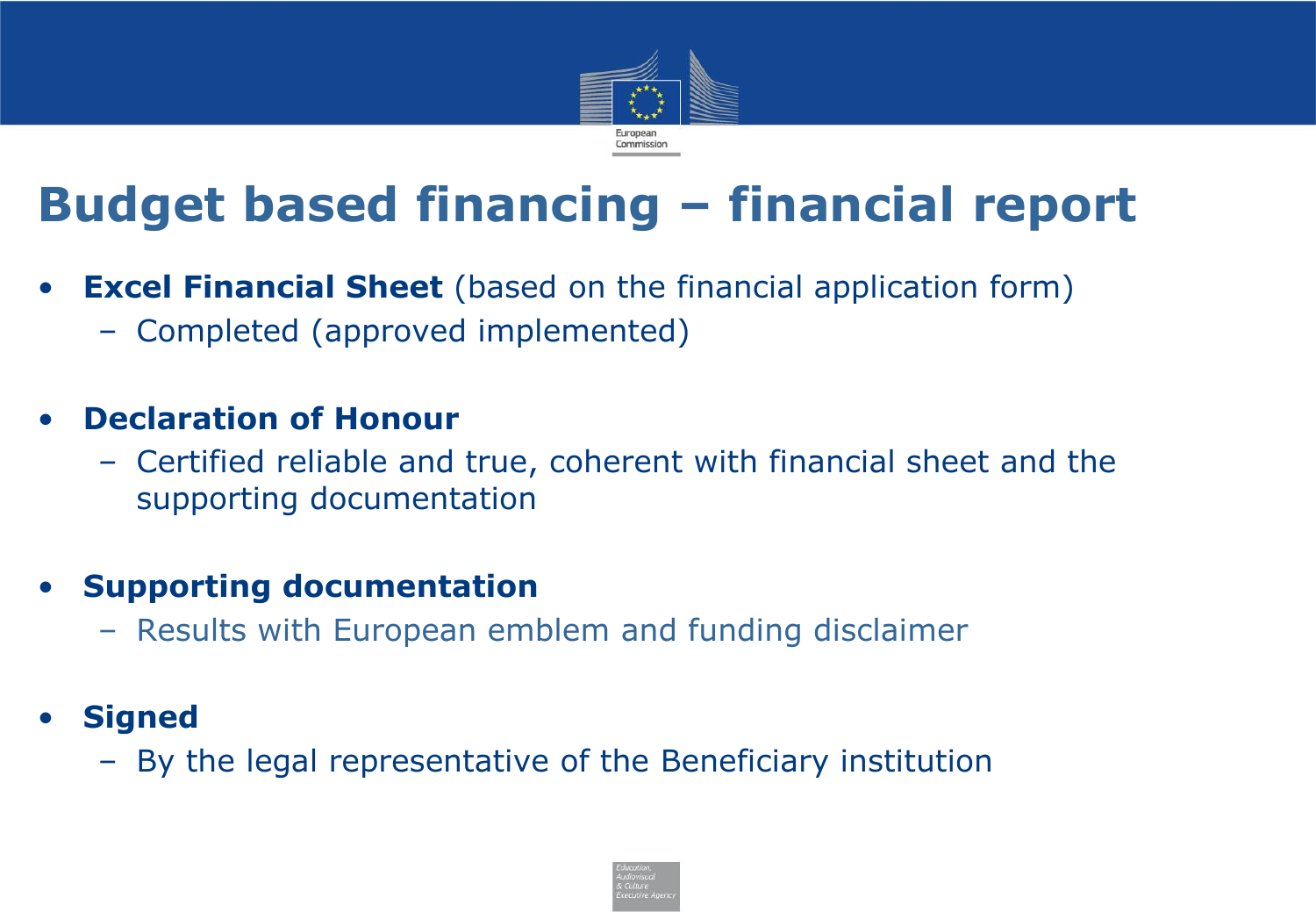

## **Budget based financing – financial report**

- **Excel Financial Sheet** (based on the financial application form)
	- Completed (approved implemented)

#### • **Declaration of Honour**

– Certified reliable and true, coherent with financial sheet and the supporting documentation

#### • **Supporting documentation**

- Results with European emblem and funding disclaimer
- **Signed**
	- By the legal representative of the Beneficiary institution

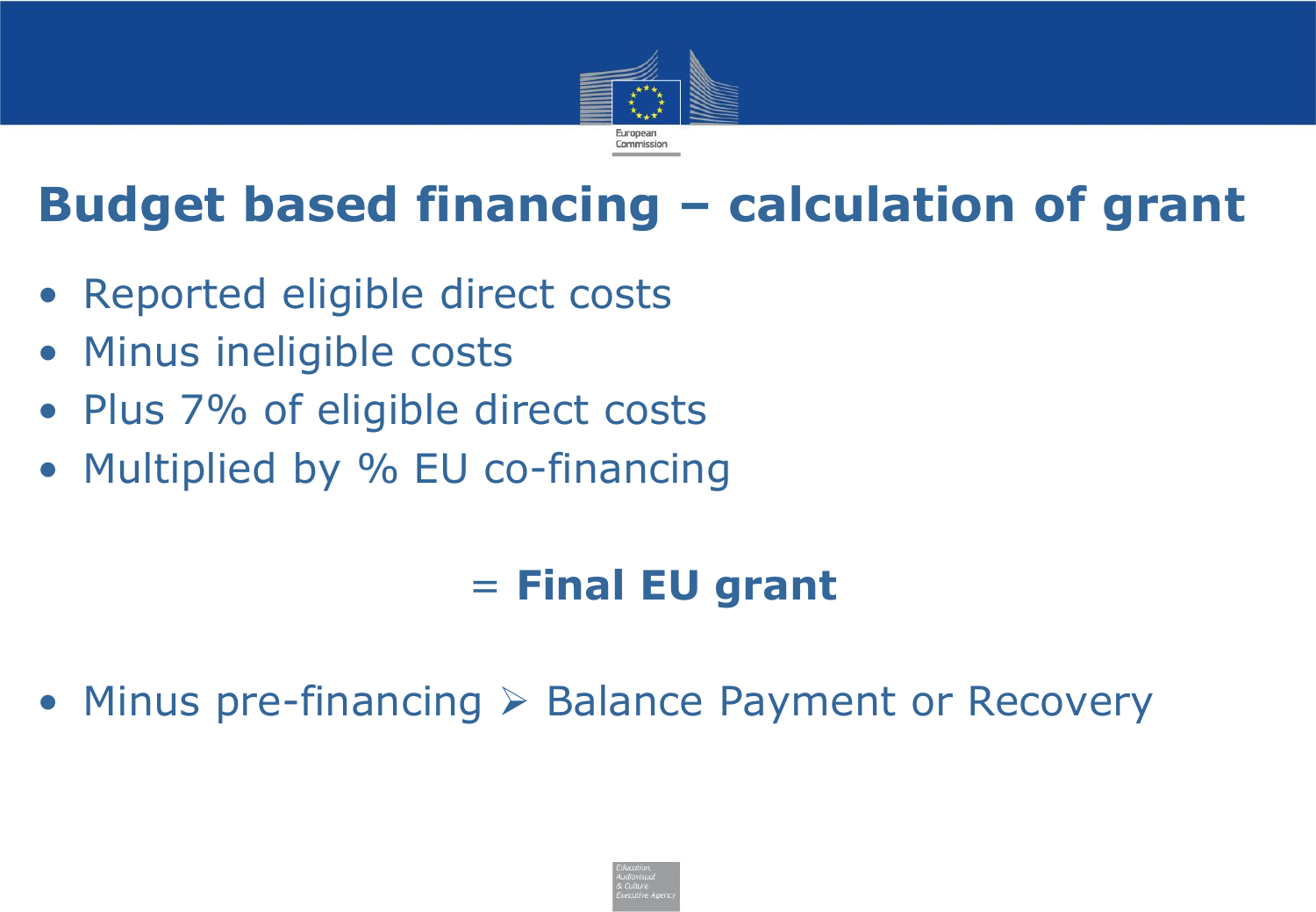

## **Budget based financing – calculation of grant**

- Reported eligible direct costs
- Minus ineligible costs
- Plus 7% of eligible direct costs
- Multiplied by % EU co-financing

#### = **Final EU grant**

• Minus pre-financing ➢ Balance Payment or Recovery

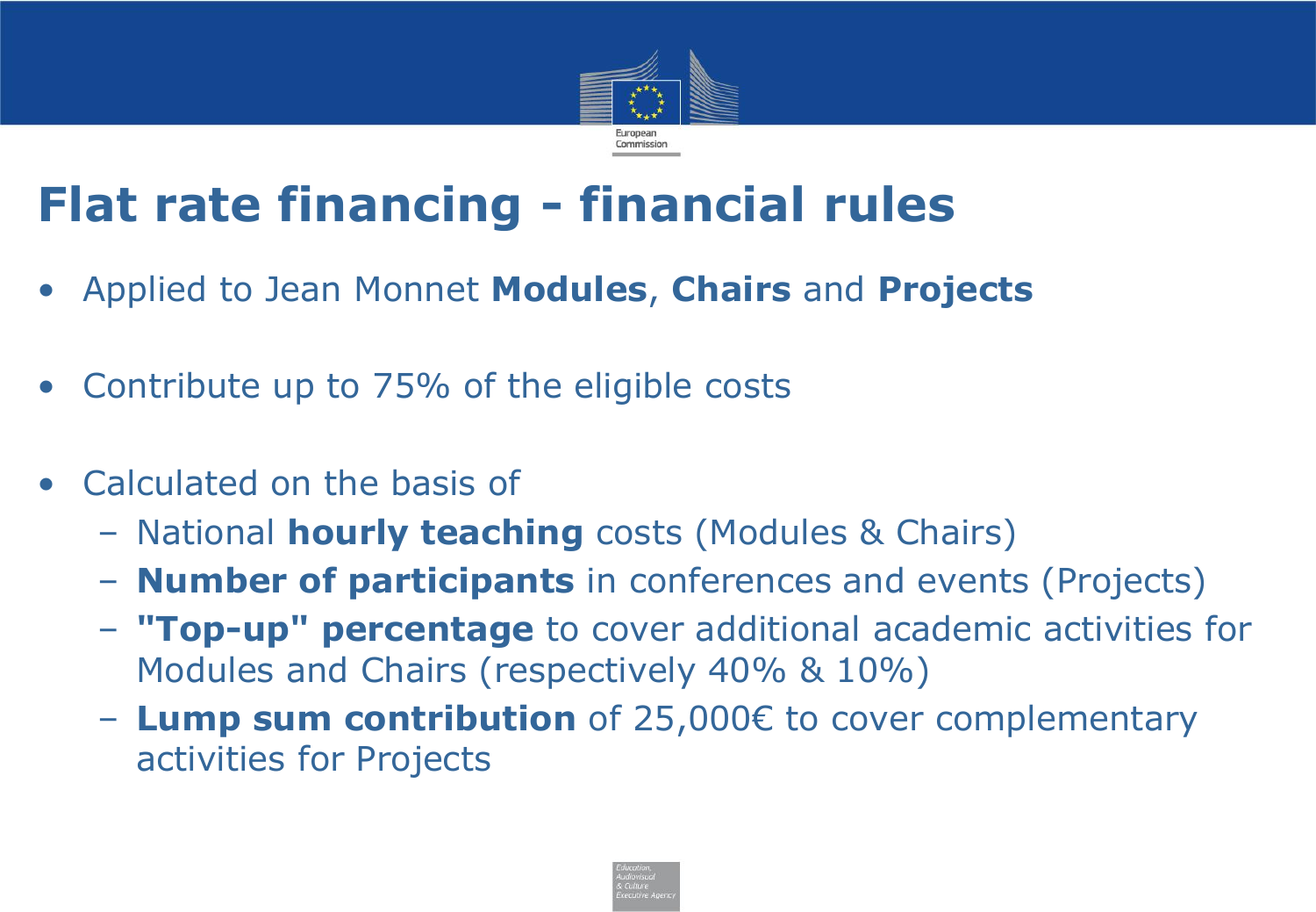

### **Flat rate financing - financial rules**

- Applied to Jean Monnet **Modules**, **Chairs** and **Projects**
- Contribute up to 75% of the eligible costs
- Calculated on the basis of
	- National **hourly teaching** costs (Modules & Chairs)
	- **Number of participants** in conferences and events (Projects)
	- **"Top-up" percentage** to cover additional academic activities for Modules and Chairs (respectively 40% & 10%)
	- **Lump sum contribution** of 25,000€ to cover complementary activities for Projects

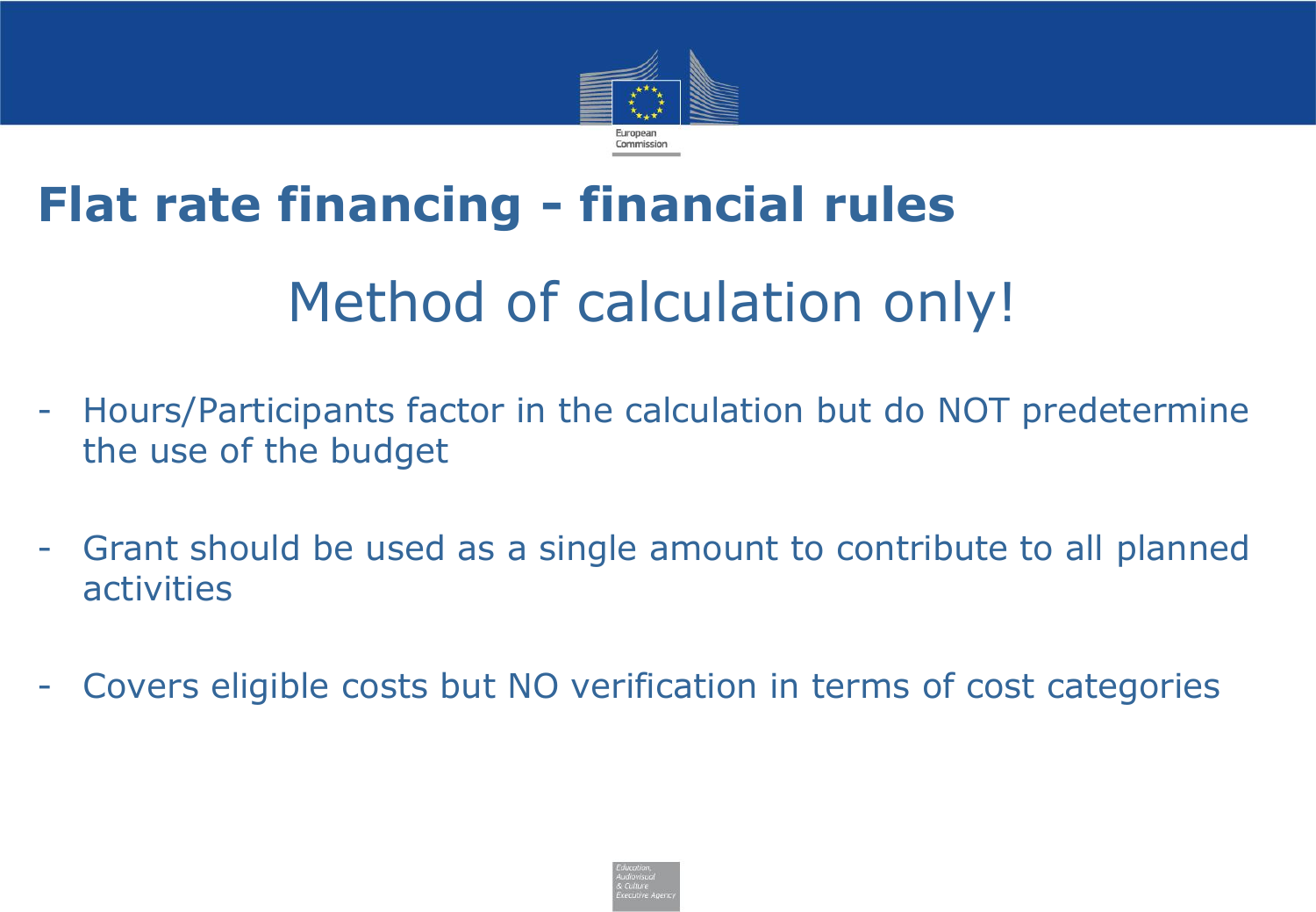

# **Flat rate financing - financial rules** Method of calculation only!

- Hours/Participants factor in the calculation but do NOT predetermine the use of the budget
- Grant should be used as a single amount to contribute to all planned activities
- Covers eligible costs but NO verification in terms of cost categories

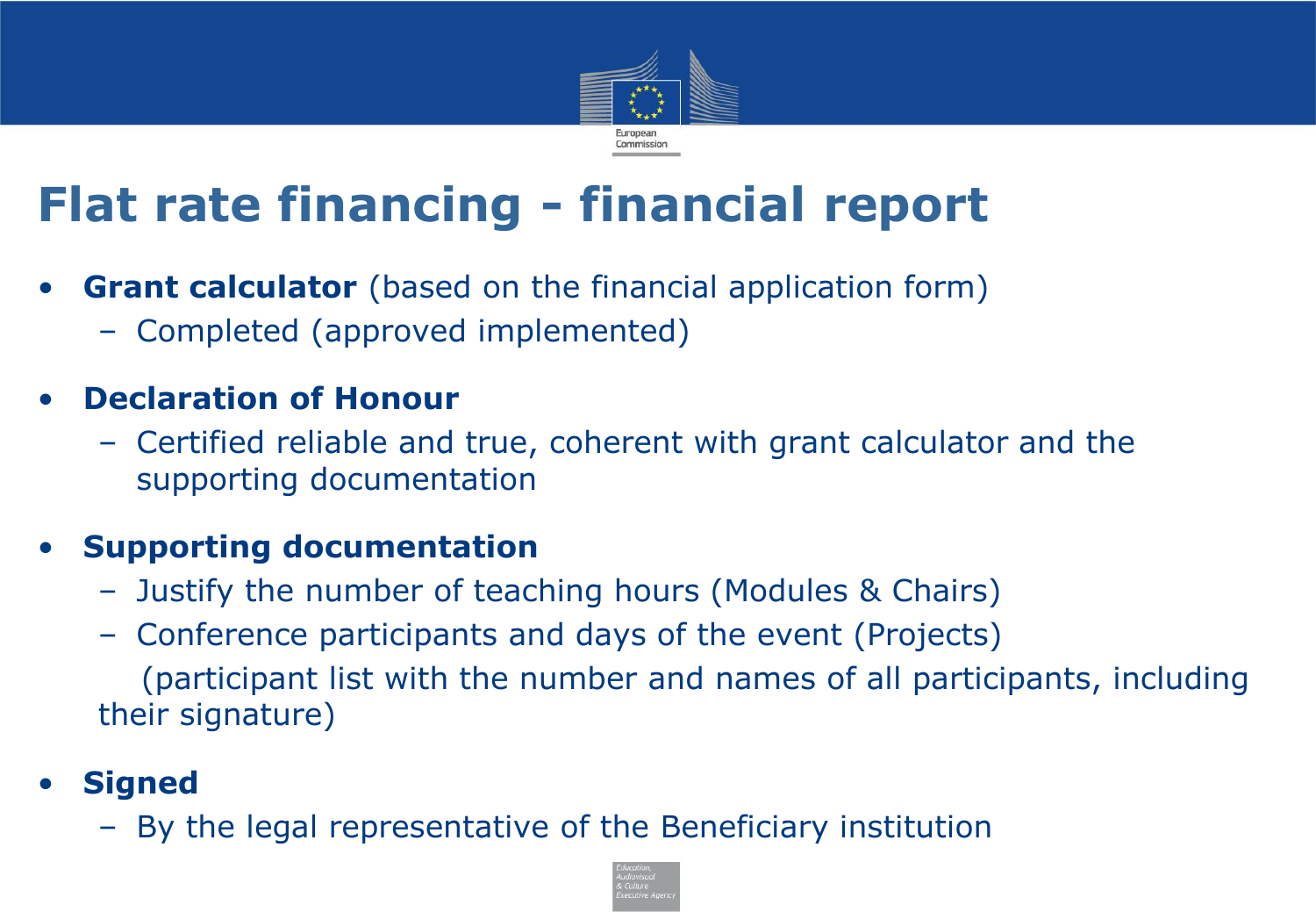

## **Flat rate financing - financial report**

- **Grant calculator** (based on the financial application form)
	- Completed (approved implemented)

#### • **Declaration of Honour**

– Certified reliable and true, coherent with grant calculator and the supporting documentation

#### • **Supporting documentation**

- Justify the number of teaching hours (Modules & Chairs)
- Conference participants and days of the event (Projects) (participant list with the number and names of all participants, including their signature)

#### • **Signed**

– By the legal representative of the Beneficiary institution

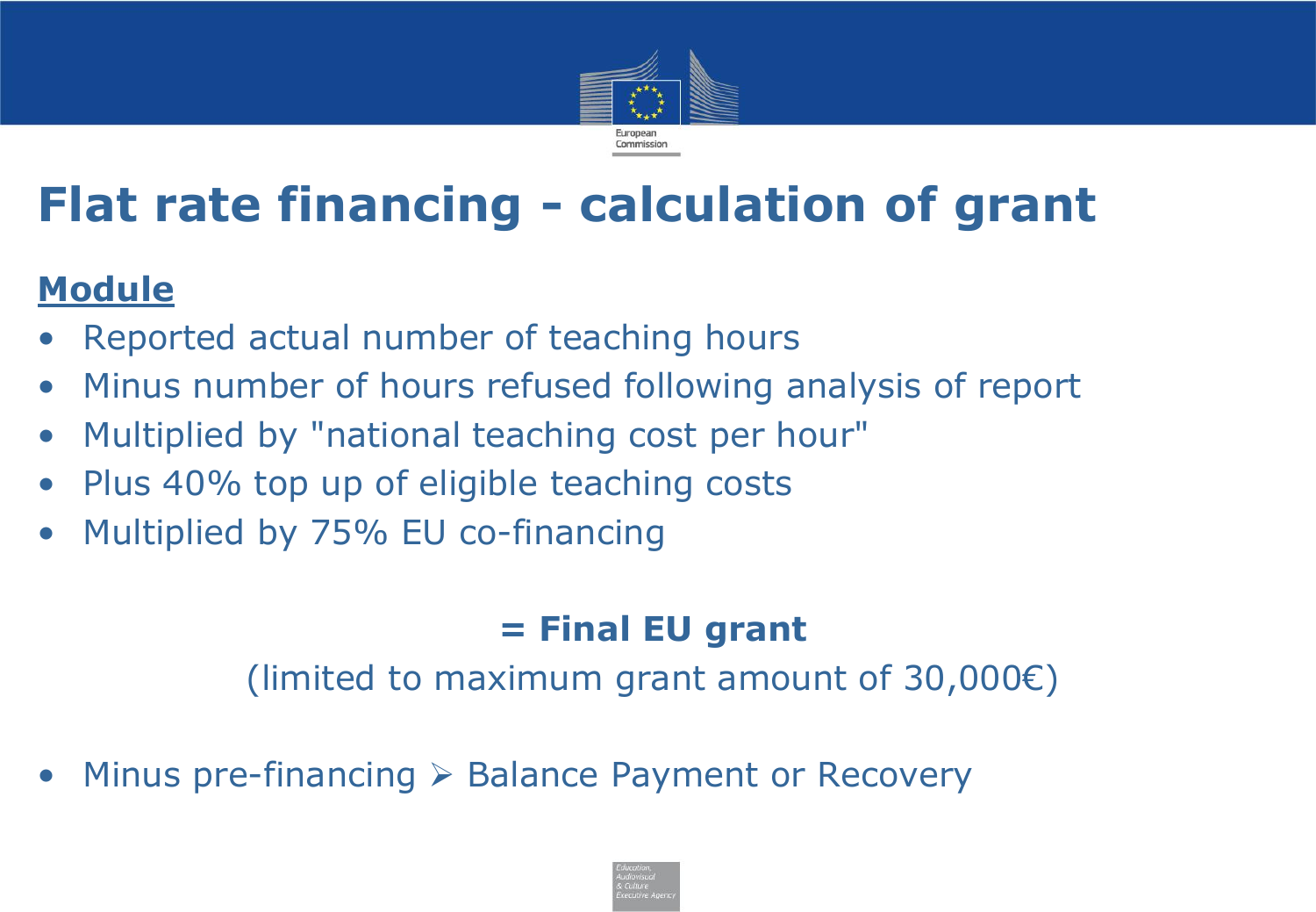

## **Flat rate financing - calculation of grant**

#### **Module**

- Reported actual number of teaching hours
- Minus number of hours refused following analysis of report
- Multiplied by "national teaching cost per hour"
- Plus 40% top up of eligible teaching costs
- Multiplied by 75% EU co-financing

#### **= Final EU grant**

(limited to maximum grant amount of 30,000 $\varepsilon$ )

• Minus pre-financing ➢ Balance Payment or Recovery